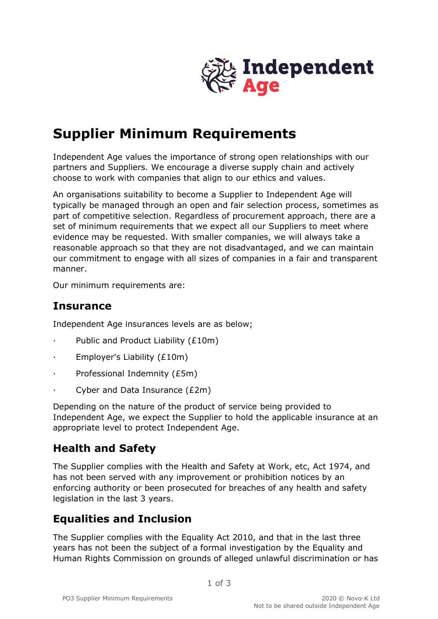

# **Supplier Minimum Requirements**

Independent Age values the importance of strong open relationships with our partners and Suppliers. We encourage a diverse supply chain and actively choose to work with companies that align to our ethics and values.

An organisations suitability to become a Supplier to Independent Age will typically be managed through an open and fair selection process, sometimes as part of competitive selection. Regardless of procurement approach, there are a set of minimum requirements that we expect all our Suppliers to meet where evidence may be requested. With smaller companies, we will always take a reasonable approach so that they are not disadvantaged, and we can maintain our commitment to engage with all sizes of companies in a fair and transparent manner.

Our minimum requirements are:

#### **Insurance**

Independent Age insurances levels are as below;

- · Public and Product Liability (£10m)
- Employer's Liability (£10m)
- · Professional Indemnity (£5m)
- Cyber and Data Insurance (£2m)

Depending on the nature of the product of service being provided to Independent Age, we expect the Supplier to hold the applicable insurance at an appropriate level to protect Independent Age.

#### **Health and Safety**

The Supplier complies with the Health and Safety at Work, etc, Act 1974, and has not been served with any improvement or prohibition notices by an enforcing authority or been prosecuted for breaches of any health and safety legislation in the last 3 years.

#### **Equalities and Inclusion**

The Supplier complies with the Equality Act 2010, and that in the last three years has not been the subject of a formal investigation by the Equality and Human Rights Commission on grounds of alleged unlawful discrimination or has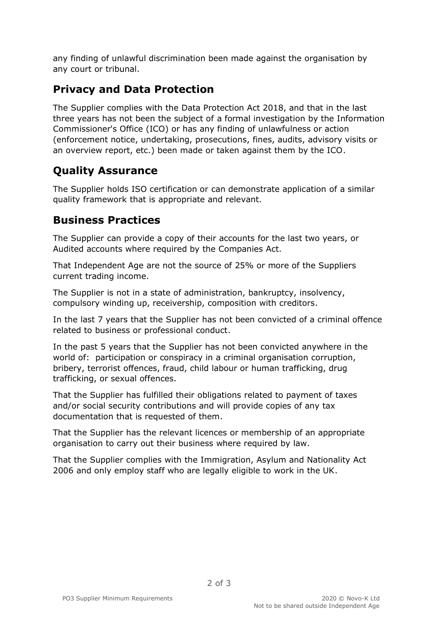any finding of unlawful discrimination been made against the organisation by any court or tribunal.

## **Privacy and Data Protection**

The Supplier complies with the Data Protection Act 2018, and that in the last three years has not been the subject of a formal investigation by the Information Commissioner's Office (ICO) or has any finding of unlawfulness or action (enforcement notice, undertaking, prosecutions, fines, audits, advisory visits or an overview report, etc.) been made or taken against them by the ICO.

## **Quality Assurance**

The Supplier holds ISO certification or can demonstrate application of a similar quality framework that is appropriate and relevant.

#### **Business Practices**

The Supplier can provide a copy of their accounts for the last two years, or Audited accounts where required by the Companies Act.

That Independent Age are not the source of 25% or more of the Suppliers current trading income.

The Supplier is not in a state of administration, bankruptcy, insolvency, compulsory winding up, receivership, composition with creditors.

In the last 7 years that the Supplier has not been convicted of a criminal offence related to business or professional conduct.

In the past 5 years that the Supplier has not been convicted anywhere in the world of: participation or conspiracy in a criminal organisation corruption, bribery, terrorist offences, fraud, child labour or human trafficking, drug trafficking, or sexual offences.

That the Supplier has fulfilled their obligations related to payment of taxes and/or social security contributions and will provide copies of any tax documentation that is requested of them.

That the Supplier has the relevant licences or membership of an appropriate organisation to carry out their business where required by law.

That the Supplier complies with the Immigration, Asylum and Nationality Act 2006 and only employ staff who are legally eligible to work in the UK.